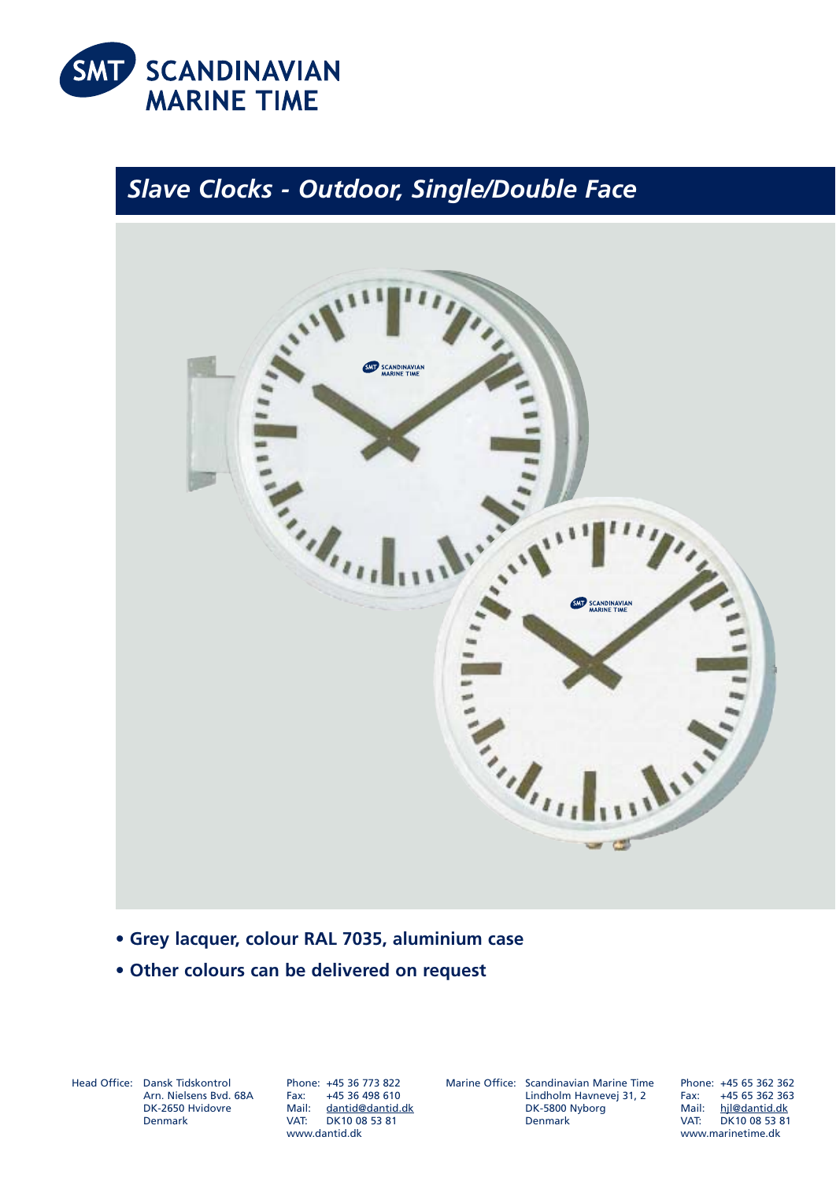

# *Slave Clocks - Outdoor, Single/Double Face*



- **Grey lacquer, colour RAL 7035, aluminium case**
- **Other colours can be delivered on request**

Head Office: Dansk Tidskontrol Arn. Nielsens Bvd. 68A DK-2650 Hvidovre Denmark

Phone: +45 36 773 822 Fax: +45 36 498 610 Mail: dantid@dantid.dk VAT: DK10 08 53 81 www.dantid.dk

Marine Office: Scandinavian Marine Time Lindholm Havnevej 31, 2 DK-5800 Nyborg Denmark

Phone: +45 65 362 362 Fax: +45 65 362 363 Mail: hjl@dantid.dk VAT: DK10 08 53 81 www.marinetime.dk